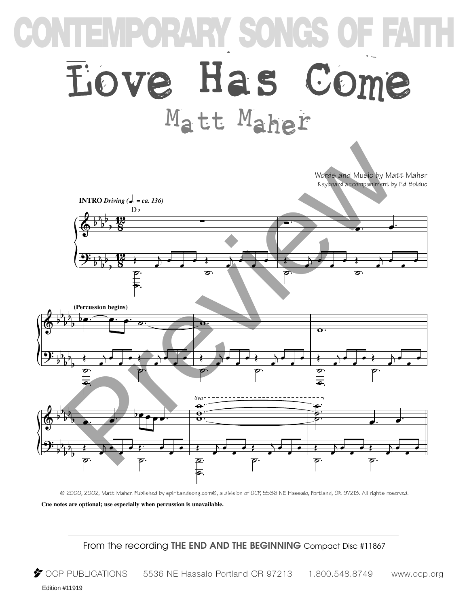## **CONTEMPORARY SONGS OF FAITH Eove Has Come** Matt Maher



© 2000, 2002, Matt Maher. Published by spiritandsong.com®, a division of OCP, 5536 NE Hassalo, Portland, OR 97213. All rights reserved.

**Cue notes are optional; use especially when percussion is unavailable.**

From the recording **THE END AND THE BEGINNING** Compact Disc #11867

 $\blacktriangleright$  OCP PUBLICATIONS 5536 NE Hassalo Portland OR 97213 1.800.548.8749 www.ocp.org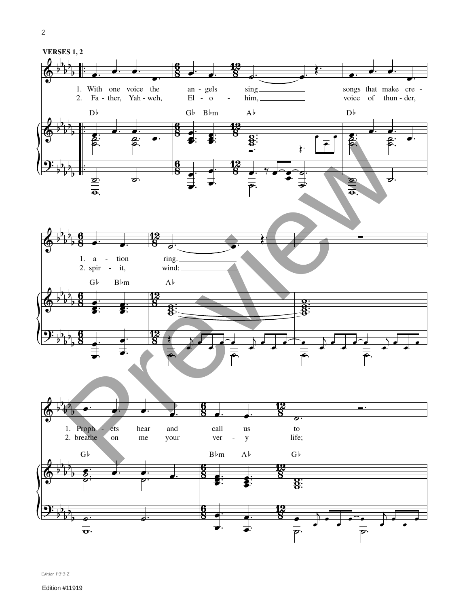

Edition 11919-Z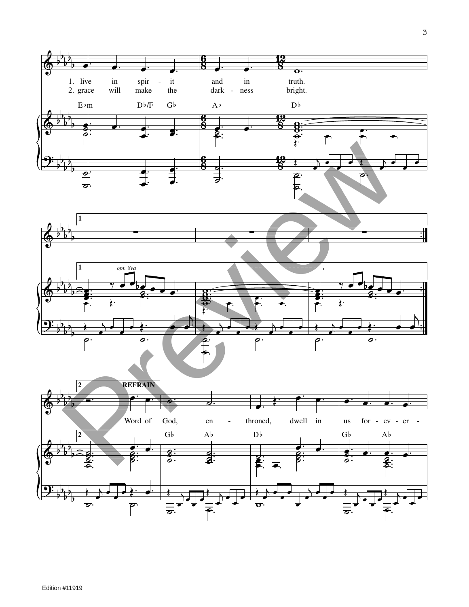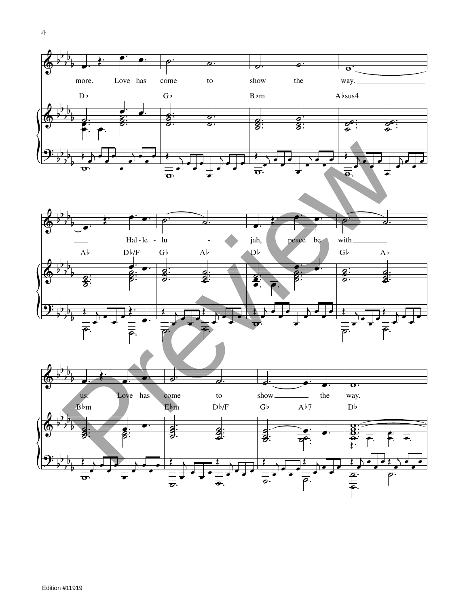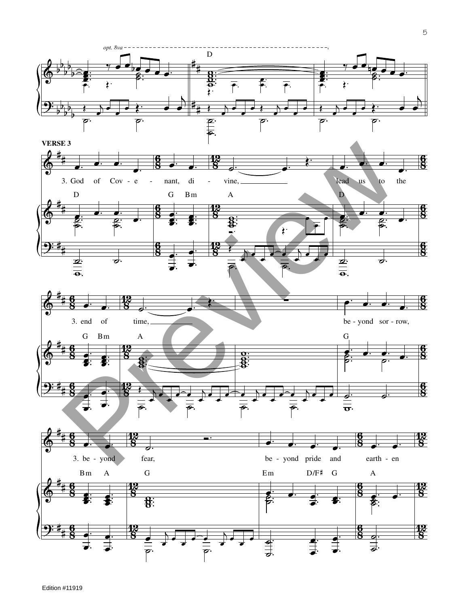

 $\mathbf 5$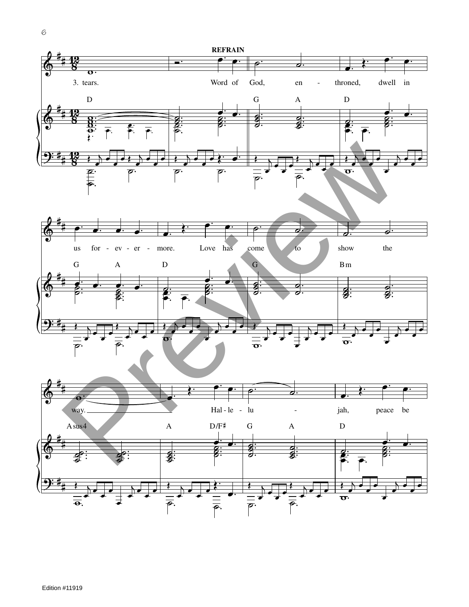

Edition #11919

 $\mathcal{C}% _{M_{1},M_{2}}^{\alpha,\beta}(\mathcal{M}_{M_{1},M_{2}}^{\alpha,\beta}(\mathcal{M}_{M_{1},M_{2}}^{\alpha,\beta}(\mathcal{M}_{M_{1},M_{2}}^{\alpha,\beta}(\mathcal{M}_{M_{1},M_{2}}^{\alpha,\beta}(\mathcal{M}_{M_{1},M_{2}}^{\alpha,\beta}(\mathcal{M}_{M_{1},M_{2}}^{\alpha,\beta}(\mathcal{M}_{M_{1},M_{2}}^{\alpha,\beta}(\mathcal{M}_{M_{1},M_{2}}^{\alpha,\beta}(\mathcal{M}_{M_{1},M_{2}}^{\alpha,\beta}(\mathcal{M}_{M_{1},M_{2}}^{\alpha,\$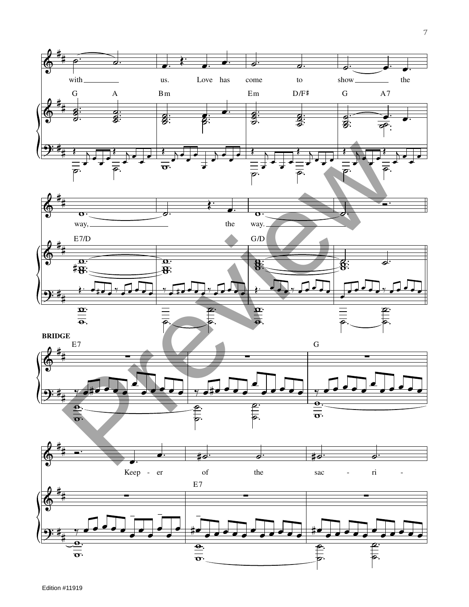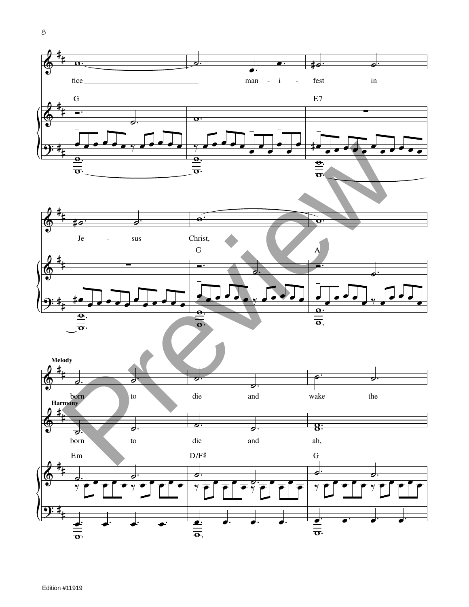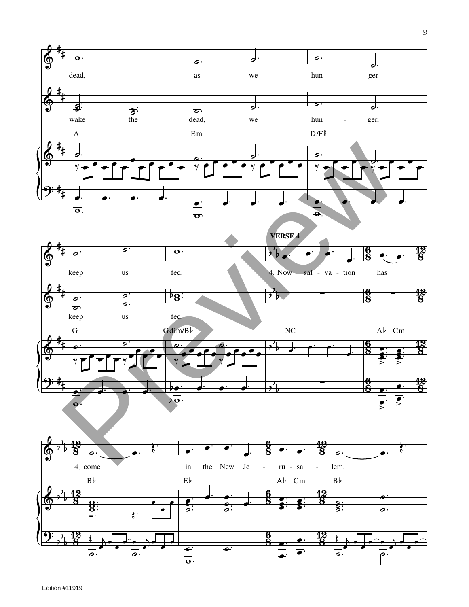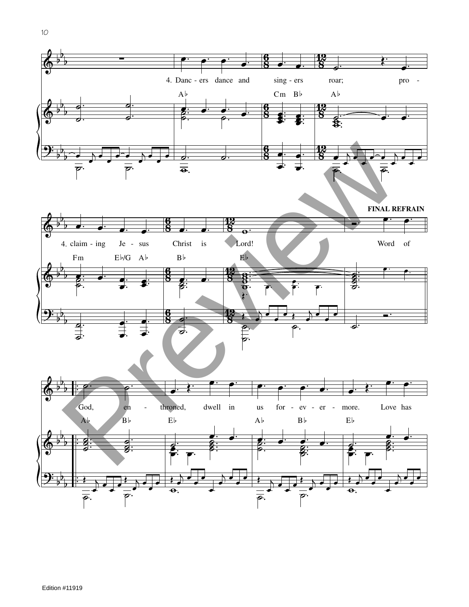

 $10$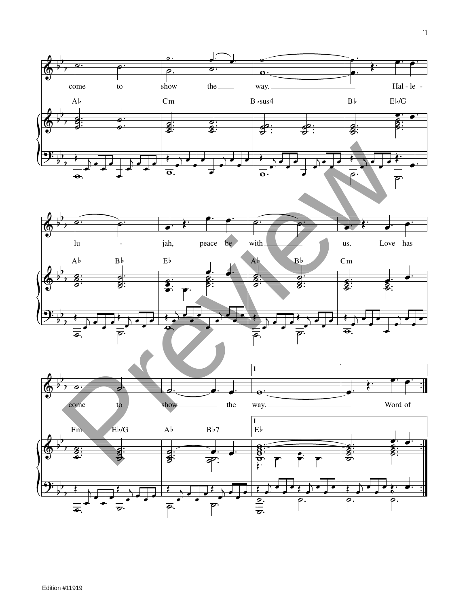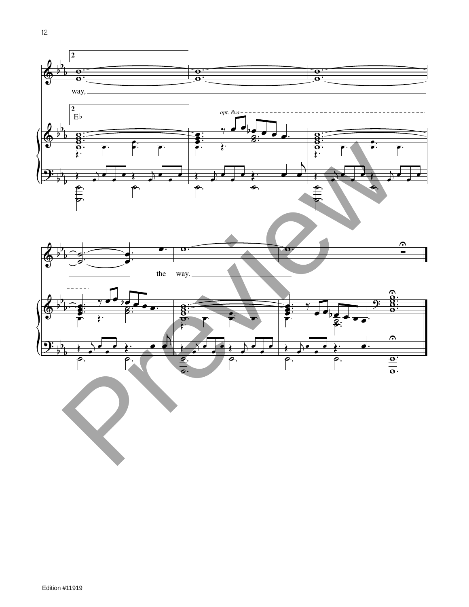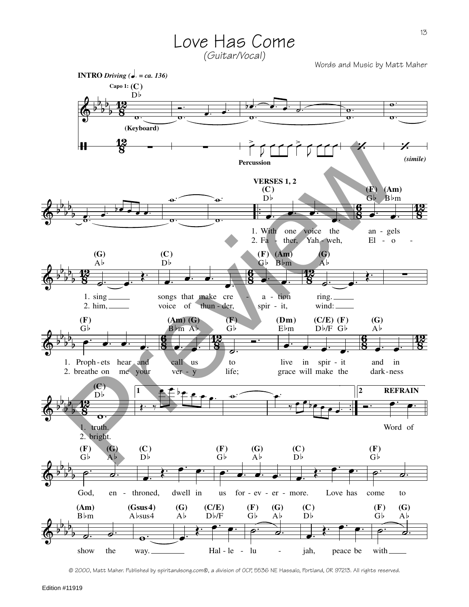

<sup>© 2000,</sup> Matt Maher. Published by spiritandsong.com©, a division of OCP, 5536 NE Hassalo, Portland, OR 97213. All rights reserved.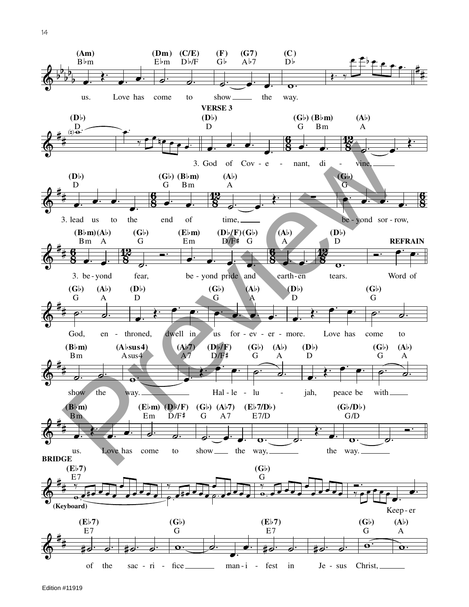

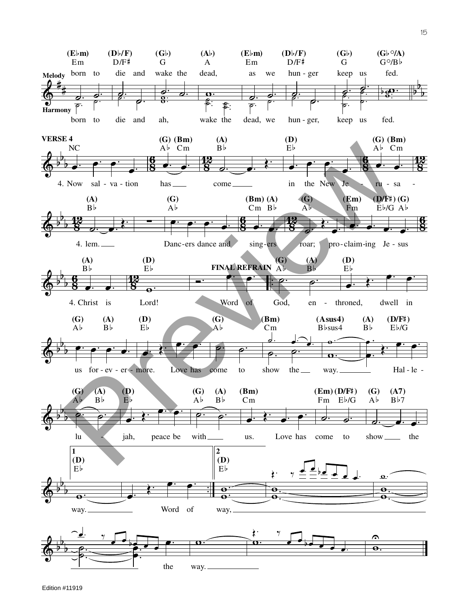$(Gb \circ /A)$  $(E \flat m)$  $(Db/F)$  $(Gb)$  $(A<sub>b</sub>)$  $(E \flat m)$  $(D\flat/F)$  $(Gb)$  $G^{\circ}/B^{\circ}$  $Em$  $D/F#$  $Em$  $D/F#$ G  $\mathbf{A}$ G Melody born to die and wake the hun - ger fed. dead, as we keep us  $,\overline{\mathbf{o}}$  $\overline{\mathbf{a}}$  $\frac{Q}{\text{Harmony}}$  $\mathbf{\hat{z}}$  $\overline{\rho}$ . born to wake the hun - ger, fed. die and ah, dead, we keep us **VERSE 4**  $(G)$  (Bm)  $(A)$  $(D)$  $(G)$  (Bm) NC Ab Cm  $B\flat$  $E<sub>b</sub>$ Ab Cm 4. Now sal - va - tion in the New Je  $has_$ come. ru - sa  $(G)$  $(D/F\sharp)(G)$  $(A)$  $(G)$  $(Bm)(A)$  $(Em)$  $B\bar{b}$  $\overline{Ab}$  $Cm$   $Bb$  $Eb/G$   $Ab$  $\overline{AB}$ Fm 4. lem. \_ Danc-ers dance and sing-ers roar; pro-claim-ing Je - sus  $(D)$  $(G)$  $(D)$  $(A)$  $(A)$ FINAL REFRAIN Ab Вb  $E^{\dagger}$  $B<sub>b</sub>$ Eþ  $\overline{\mathbf{e}}$ 4. Christ is Lord! Word God, throned, dwell in en - $\circ$  $(G)$  $(Bm)$  $(G)$  $(A)$ (D)  $(Asus4)$  $(A)$  $(D/F^{\sharp})$  $\mathbf{A}^{\dagger}$  $B\flat$ Eb  $\mathbf{A}^{\dagger}$  $Cm$ B<sub>bsus</sub>4  $B\flat$  $E\flat/G$ ℴ us  $for -ev - er - more.$ Love has come to show the  $\equiv$ way.\_ Hal-le- $(G)$  $(A)$  $(G)$  $(D)$  $(G)$  $(A)$  $(Bm)$  $(Em)$   $(D/F#)$  $(A7)$  $Ab$  $E\flat$  $\overline{Ab}$  $B\flat$  $B\flat 7$  $B\flat$  $Cm$ Fm Eb/G  $\mathbf{A}^{\dagger}$  $\ln$ peace be with. Love has jah, us. come to show  $\_\_$ the  $\mathbf{1}$  $\overline{2}$  $(D)$  $(D)$  $\frac{d}{d} \frac{1}{2}$  $E<sub>b</sub>$  $E\flat$ ţ.  $\mathbf{a}$  $\overline{\mathbf{e}}$  $\mathbf{\Theta}$ e Å Ą Word of way. way,  $\sum_{i=1}^n$  $\gamma$  $\Omega$  $\overline{\mathbf{o}}$  $\overline{\mathbf{e}}$ the way.\_